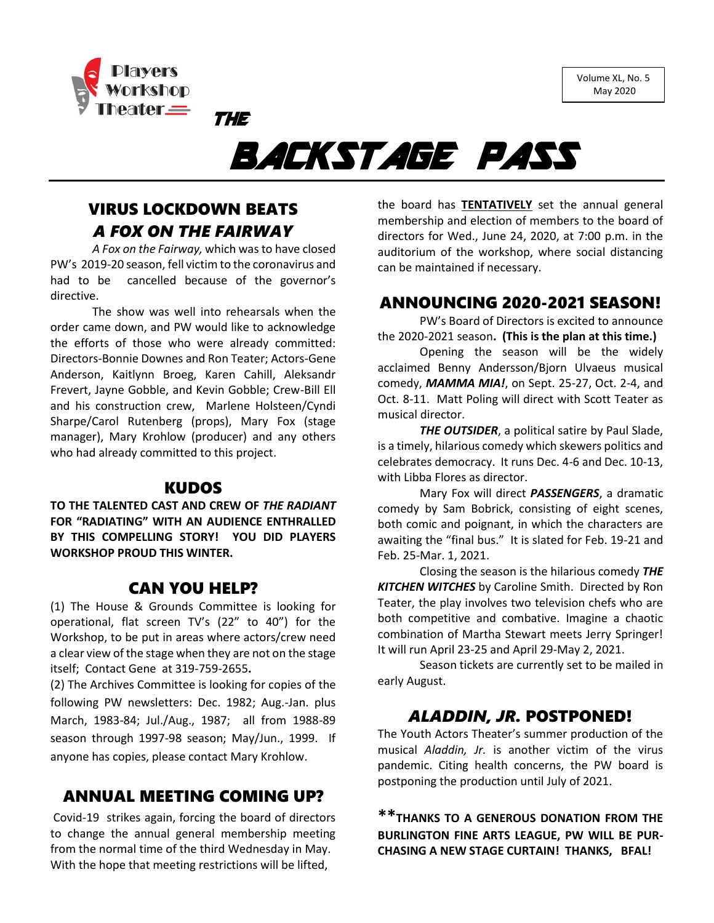Volume XL, No. 5 May 2020



# BACKSTAGE PASS

# VIRUS LOCKDOWN BEATS *A FOX ON THE FAIRWAY*

THE

*A Fox on the Fairway,* which was to have closed PW's 2019-20 season, fell victim to the coronavirus and had to be cancelled because of the governor's directive.

The show was well into rehearsals when the order came down, and PW would like to acknowledge the efforts of those who were already committed: Directors-Bonnie Downes and Ron Teater; Actors-Gene Anderson, Kaitlynn Broeg, Karen Cahill, Aleksandr Frevert, Jayne Gobble, and Kevin Gobble; Crew-Bill Ell and his construction crew, Marlene Holsteen/Cyndi Sharpe/Carol Rutenberg (props), Mary Fox (stage manager), Mary Krohlow (producer) and any others who had already committed to this project.

### KUDOS

**TO THE TALENTED CAST AND CREW OF** *THE RADIANT* **FOR "RADIATING" WITH AN AUDIENCE ENTHRALLED BY THIS COMPELLING STORY! YOU DID PLAYERS WORKSHOP PROUD THIS WINTER.**

### CAN YOU HELP?

(1) The House & Grounds Committee is looking for operational, flat screen TV's (22" to 40") for the Workshop, to be put in areas where actors/crew need a clear view of the stage when they are not on the stage itself; Contact Gene at 319-759-2655**.**

(2) The Archives Committee is looking for copies of the following PW newsletters: Dec. 1982; Aug.-Jan. plus March, 1983-84; Jul./Aug., 1987; all from 1988-89 season through 1997-98 season; May/Jun., 1999. If anyone has copies, please contact Mary Krohlow.

# ANNUAL MEETING COMING UP?

Covid-19 strikes again, forcing the board of directors to change the annual general membership meeting from the normal time of the third Wednesday in May. With the hope that meeting restrictions will be lifted,

the board has **TENTATIVELY** set the annual general membership and election of members to the board of directors for Wed., June 24, 2020, at 7:00 p.m. in the auditorium of the workshop, where social distancing can be maintained if necessary.

# ANNOUNCING 2020-2021 SEASON!

PW's Board of Directors is excited to announce the 2020-2021 season**. (This is the plan at this time.)**

Opening the season will be the widely acclaimed Benny Andersson/Bjorn Ulvaeus musical comedy, *MAMMA MIA!*, on Sept. 25-27, Oct. 2-4, and Oct. 8-11. Matt Poling will direct with Scott Teater as musical director.

*THE OUTSIDER*, a political satire by Paul Slade, is a timely, hilarious comedy which skewers politics and celebrates democracy. It runs Dec. 4-6 and Dec. 10-13, with Libba Flores as director.

Mary Fox will direct *PASSENGERS*, a dramatic comedy by Sam Bobrick, consisting of eight scenes, both comic and poignant, in which the characters are awaiting the "final bus." It is slated for Feb. 19-21 and Feb. 25-Mar. 1, 2021.

Closing the season is the hilarious comedy *THE KITCHEN WITCHES* by Caroline Smith. Directed by Ron Teater, the play involves two television chefs who are both competitive and combative. Imagine a chaotic combination of Martha Stewart meets Jerry Springer! It will run April 23-25 and April 29-May 2, 2021.

Season tickets are currently set to be mailed in early August.

# *ALADDIN, JR.* POSTPONED!

The Youth Actors Theater's summer production of the musical *Aladdin, Jr.* is another victim of the virus pandemic. Citing health concerns, the PW board is postponing the production until July of 2021.

**\*\*THANKS TO A GENEROUS DONATION FROM THE BURLINGTON FINE ARTS LEAGUE, PW WILL BE PUR-CHASING A NEW STAGE CURTAIN! THANKS, BFAL!**